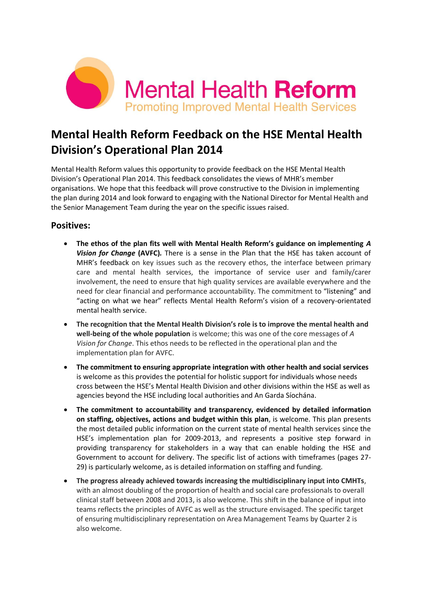

# **Mental Health Reform Feedback on the HSE Mental Health Division's Operational Plan 2014**

Mental Health Reform values this opportunity to provide feedback on the HSE Mental Health Division's Operational Plan 2014. This feedback consolidates the views of MHR's member organisations. We hope that this feedback will prove constructive to the Division in implementing the plan during 2014 and look forward to engaging with the National Director for Mental Health and the Senior Management Team during the year on the specific issues raised.

### **Positives:**

- **The ethos of the plan fits well with Mental Health Reform's guidance on implementing** *A Vision for Change* **(AVFC)***.* There is a sense in the Plan that the HSE has taken account of MHR's feedback on key issues such as the recovery ethos, the interface between primary care and mental health services, the importance of service user and family/carer involvement, the need to ensure that high quality services are available everywhere and the need for clear financial and performance accountability. The commitment to "listening" and "acting on what we hear" reflects Mental Health Reform's vision of a recovery-orientated mental health service.
- **The recognition that the Mental Health Division's role is to improve the mental health and well-being of the whole population** is welcome; this was one of the core messages of *A Vision for Change*. This ethos needs to be reflected in the operational plan and the implementation plan for AVFC.
- **The commitment to ensuring appropriate integration with other health and social services** is welcome as this provides the potential for holistic support for individuals whose needs cross between the HSE's Mental Health Division and other divisions within the HSE as well as agencies beyond the HSE including local authorities and An Garda Síochána.
- **The commitment to accountability and transparency, evidenced by detailed information on staffing, objectives, actions and budget within this plan**, is welcome. This plan presents the most detailed public information on the current state of mental health services since the HSE's implementation plan for 2009-2013, and represents a positive step forward in providing transparency for stakeholders in a way that can enable holding the HSE and Government to account for delivery. The specific list of actions with timeframes (pages 27- 29) is particularly welcome, as is detailed information on staffing and funding.
- **The progress already achieved towards increasing the multidisciplinary input into CMHTs**, with an almost doubling of the proportion of health and social care professionals to overall clinical staff between 2008 and 2013, is also welcome. This shift in the balance of input into teams reflects the principles of AVFC as well as the structure envisaged. The specific target of ensuring multidisciplinary representation on Area Management Teams by Quarter 2 is also welcome.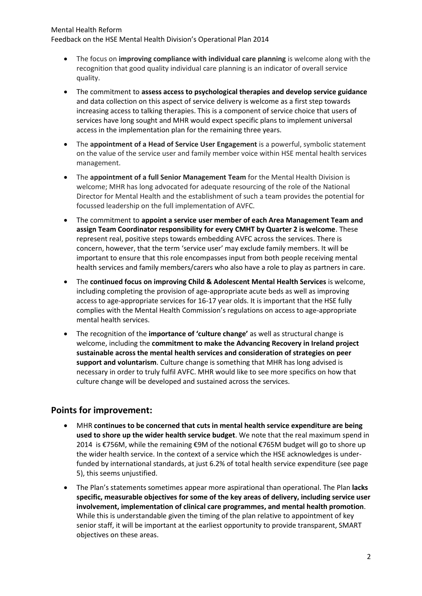### Mental Health Reform

Feedback on the HSE Mental Health Division's Operational Plan 2014

- The focus on **improving compliance with individual care planning** is welcome along with the recognition that good quality individual care planning is an indicator of overall service quality.
- The commitment to **assess access to psychological therapies and develop service guidance**  and data collection on this aspect of service delivery is welcome as a first step towards increasing access to talking therapies. This is a component of service choice that users of services have long sought and MHR would expect specific plans to implement universal access in the implementation plan for the remaining three years.
- The **appointment of a Head of Service User Engagement** is a powerful, symbolic statement on the value of the service user and family member voice within HSE mental health services management.
- The **appointment of a full Senior Management Team** for the Mental Health Division is welcome; MHR has long advocated for adequate resourcing of the role of the National Director for Mental Health and the establishment of such a team provides the potential for focussed leadership on the full implementation of AVFC.
- The commitment to **appoint a service user member of each Area Management Team and assign Team Coordinator responsibility for every CMHT by Quarter 2 is welcome**. These represent real, positive steps towards embedding AVFC across the services. There is concern, however, that the term 'service user' may exclude family members. It will be important to ensure that this role encompasses input from both people receiving mental health services and family members/carers who also have a role to play as partners in care.
- The **continued focus on improving Child & Adolescent Mental Health Services** is welcome, including completing the provision of age-appropriate acute beds as well as improving access to age-appropriate services for 16-17 year olds. It is important that the HSE fully complies with the Mental Health Commission's regulations on access to age-appropriate mental health services.
- The recognition of the **importance of 'culture change'** as well as structural change is welcome, including the **commitment to make the Advancing Recovery in Ireland project sustainable across the mental health services and consideration of strategies on peer support and voluntarism**. Culture change is something that MHR has long advised is necessary in order to truly fulfil AVFC. MHR would like to see more specifics on how that culture change will be developed and sustained across the services.

## **Points for improvement:**

- MHR **continues to be concerned that cuts in mental health service expenditure are being used to shore up the wider health service budget**. We note that the real maximum spend in 2014 is €756M, while the remaining €9M of the notional €765M budget will go to shore up the wider health service. In the context of a service which the HSE acknowledges is underfunded by international standards, at just 6.2% of total health service expenditure (see page 5), this seems unjustified.
- The Plan's statements sometimes appear more aspirational than operational. The Plan **lacks specific, measurable objectives for some of the key areas of delivery, including service user involvement, implementation of clinical care programmes, and mental health promotion**. While this is understandable given the timing of the plan relative to appointment of key senior staff, it will be important at the earliest opportunity to provide transparent, SMART objectives on these areas.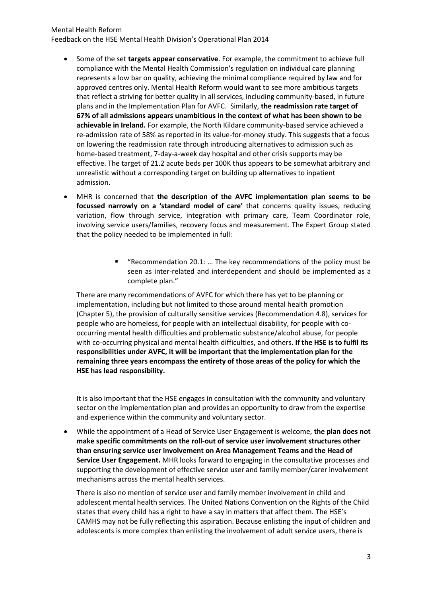#### Mental Health Reform

Feedback on the HSE Mental Health Division's Operational Plan 2014

- Some of the set **targets appear conservative**. For example, the commitment to achieve full compliance with the Mental Health Commission's regulation on individual care planning represents a low bar on quality, achieving the minimal compliance required by law and for approved centres only. Mental Health Reform would want to see more ambitious targets that reflect a striving for better quality in all services, including community-based, in future plans and in the Implementation Plan for AVFC. Similarly, **the readmission rate target of 67% of all admissions appears unambitious in the context of what has been shown to be achievable in Ireland.** For example, the North Kildare community-based service achieved a re-admission rate of 58% as reported in its value-for-money study. This suggests that a focus on lowering the readmission rate through introducing alternatives to admission such as home-based treatment, 7-day-a-week day hospital and other crisis supports may be effective. The target of 21.2 acute beds per 100K thus appears to be somewhat arbitrary and unrealistic without a corresponding target on building up alternatives to inpatient admission.
- MHR is concerned that **the description of the AVFC implementation plan seems to be focussed narrowly on a 'standard model of care'** that concerns quality issues, reducing variation, flow through service, integration with primary care, Team Coordinator role, involving service users/families, recovery focus and measurement. The Expert Group stated that the policy needed to be implemented in full:
	- "Recommendation 20.1: … The key recommendations of the policy must be seen as inter-related and interdependent and should be implemented as a complete plan."

There are many recommendations of AVFC for which there has yet to be planning or implementation, including but not limited to those around mental health promotion (Chapter 5), the provision of culturally sensitive services (Recommendation 4.8), services for people who are homeless, for people with an intellectual disability, for people with cooccurring mental health difficulties and problematic substance/alcohol abuse, for people with co-occurring physical and mental health difficulties, and others. **If the HSE is to fulfil its responsibilities under AVFC, it will be important that the implementation plan for the remaining three years encompass the entirety of those areas of the policy for which the HSE has lead responsibility.**

It is also important that the HSE engages in consultation with the community and voluntary sector on the implementation plan and provides an opportunity to draw from the expertise and experience within the community and voluntary sector.

 While the appointment of a Head of Service User Engagement is welcome, **the plan does not make specific commitments on the roll-out of service user involvement structures other than ensuring service user involvement on Area Management Teams and the Head of Service User Engagement.** MHR looks forward to engaging in the consultative processes and supporting the development of effective service user and family member/carer involvement mechanisms across the mental health services.

There is also no mention of service user and family member involvement in child and adolescent mental health services. The United Nations Convention on the Rights of the Child states that every child has a right to have a say in matters that affect them. The HSE's CAMHS may not be fully reflecting this aspiration. Because enlisting the input of children and adolescents is more complex than enlisting the involvement of adult service users, there is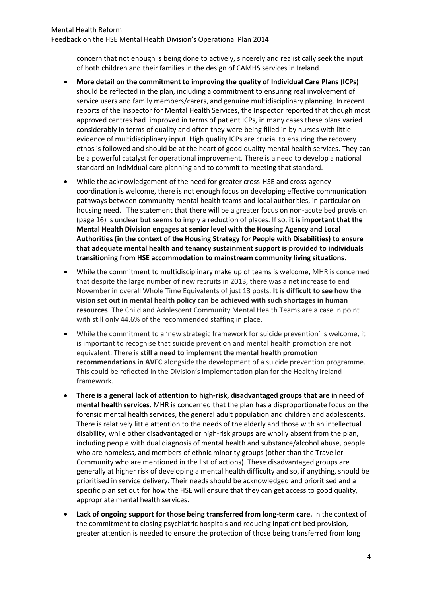### Mental Health Reform Feedback on the HSE Mental Health Division's Operational Plan 2014

concern that not enough is being done to actively, sincerely and realistically seek the input of both children and their families in the design of CAMHS services in Ireland.

- **More detail on the commitment to improving the quality of Individual Care Plans (ICPs)**  should be reflected in the plan, including a commitment to ensuring real involvement of service users and family members/carers, and genuine multidisciplinary planning. In recent reports of the Inspector for Mental Health Services, the Inspector reported that though most approved centres had improved in terms of patient ICPs, in many cases these plans varied considerably in terms of quality and often they were being filled in by nurses with little evidence of multidisciplinary input. High quality ICPs are crucial to ensuring the recovery ethos is followed and should be at the heart of good quality mental health services. They can be a powerful catalyst for operational improvement. There is a need to develop a national standard on individual care planning and to commit to meeting that standard.
- While the acknowledgement of the need for greater cross-HSE and cross-agency coordination is welcome, there is not enough focus on developing effective communication pathways between community mental health teams and local authorities, in particular on housing need. The statement that there will be a greater focus on non-acute bed provision (page 16) is unclear but seems to imply a reduction of places. If so, **it is important that the Mental Health Division engages at senior level with the Housing Agency and Local Authorities (in the context of the Housing Strategy for People with Disabilities) to ensure that adequate mental health and tenancy sustainment support is provided to individuals transitioning from HSE accommodation to mainstream community living situations**.
- While the commitment to multidisciplinary make up of teams is welcome, MHR is concerned that despite the large number of new recruits in 2013, there was a net increase to end November in overall Whole Time Equivalents of just 13 posts. **It is difficult to see how the vision set out in mental health policy can be achieved with such shortages in human resources**. The Child and Adolescent Community Mental Health Teams are a case in point with still only 44.6% of the recommended staffing in place.
- While the commitment to a 'new strategic framework for suicide prevention' is welcome, it is important to recognise that suicide prevention and mental health promotion are not equivalent. There is **still a need to implement the mental health promotion recommendations in AVFC** alongside the development of a suicide prevention programme. This could be reflected in the Division's implementation plan for the Healthy Ireland framework.
- **There is a general lack of attention to high-risk, disadvantaged groups that are in need of mental health services.** MHR is concerned that the plan has a disproportionate focus on the forensic mental health services, the general adult population and children and adolescents. There is relatively little attention to the needs of the elderly and those with an intellectual disability, while other disadvantaged or high-risk groups are wholly absent from the plan, including people with dual diagnosis of mental health and substance/alcohol abuse, people who are homeless, and members of ethnic minority groups (other than the Traveller Community who are mentioned in the list of actions). These disadvantaged groups are generally at higher risk of developing a mental health difficulty and so, if anything, should be prioritised in service delivery. Their needs should be acknowledged and prioritised and a specific plan set out for how the HSE will ensure that they can get access to good quality, appropriate mental health services.
- **Lack of ongoing support for those being transferred from long-term care.** In the context of the commitment to closing psychiatric hospitals and reducing inpatient bed provision, greater attention is needed to ensure the protection of those being transferred from long